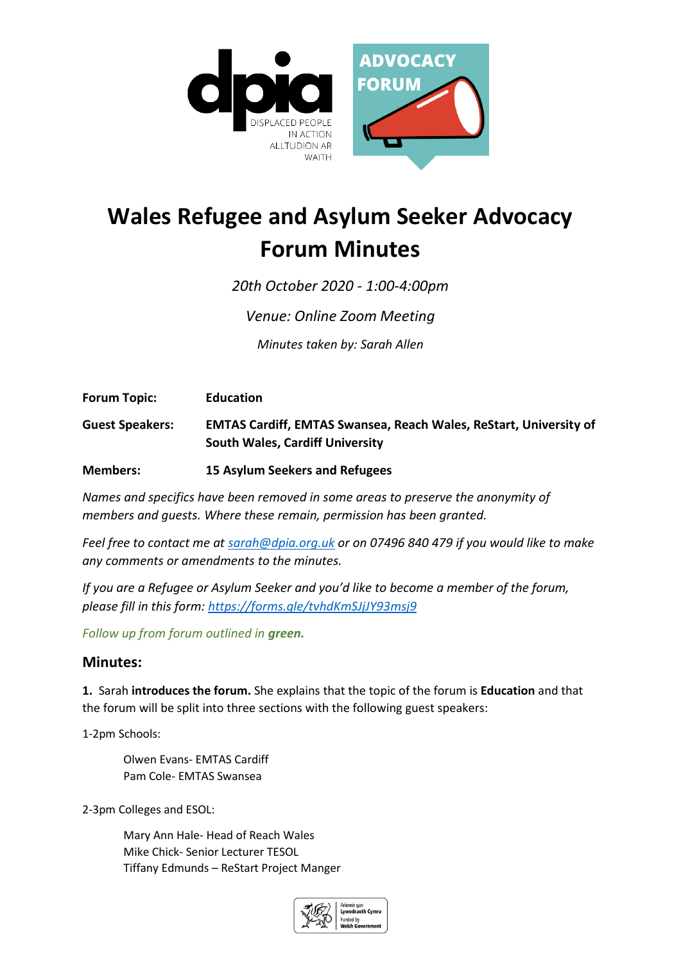

# **Wales Refugee and Asylum Seeker Advocacy Forum Minutes**

*20th October 2020 - 1:00-4:00pm* 

*Venue: Online Zoom Meeting*

*Minutes taken by: Sarah Allen*

**Forum Topic: Education**

**Guest Speakers: EMTAS Cardiff, EMTAS Swansea, Reach Wales, ReStart, University of South Wales, Cardiff University**

**Members: 15 Asylum Seekers and Refugees**

*Names and specifics have been removed in some areas to preserve the anonymity of members and guests. Where these remain, permission has been granted.*

*Feel free to contact me at [sarah@dpia.org.uk](mailto:sarah@dpia.org.uk) or on 07496 840 479 if you would like to make any comments or amendments to the minutes.* 

*If you are a Refugee or Asylum Seeker and you'd like to become a member of the forum, please fill in this form:<https://forms.gle/tvhdKmSJjJY93msj9>*

*Follow up from forum outlined in green.*

## **Minutes:**

**1.** Sarah **introduces the forum.** She explains that the topic of the forum is **Education** and that the forum will be split into three sections with the following guest speakers:

1-2pm Schools:

Olwen Evans- EMTAS Cardiff Pam Cole- EMTAS Swansea

2-3pm Colleges and ESOL:

Mary Ann Hale- Head of Reach Wales Mike Chick- Senior Lecturer TESOL Tiffany Edmunds – ReStart Project Manger

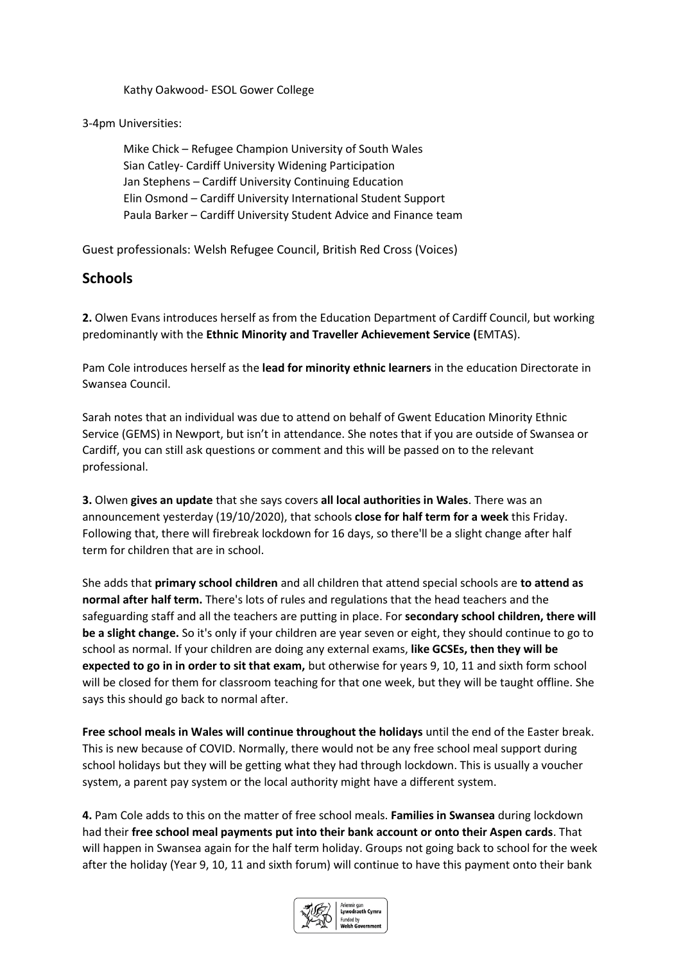Kathy Oakwood- ESOL Gower College

3-4pm Universities:

Mike Chick – Refugee Champion University of South Wales Sian Catley- Cardiff University Widening Participation Jan Stephens – Cardiff University Continuing Education Elin Osmond – Cardiff University International Student Support Paula Barker – Cardiff University Student Advice and Finance team

Guest professionals: Welsh Refugee Council, British Red Cross (Voices)

# **Schools**

**2.** Olwen Evans introduces herself as from the Education Department of Cardiff Council, but working predominantly with the **Ethnic Minority and Traveller Achievement Service (**EMTAS).

Pam Cole introduces herself as the **lead for minority ethnic learners** in the education Directorate in Swansea Council.

Sarah notes that an individual was due to attend on behalf of Gwent Education Minority Ethnic Service (GEMS) in Newport, but isn't in attendance. She notes that if you are outside of Swansea or Cardiff, you can still ask questions or comment and this will be passed on to the relevant professional.

**3.** Olwen **gives an update** that she says covers **all local authorities in Wales**. There was an announcement yesterday (19/10/2020), that schools **close for half term for a week** this Friday. Following that, there will firebreak lockdown for 16 days, so there'll be a slight change after half term for children that are in school.

She adds that **primary school children** and all children that attend special schools are **to attend as normal after half term.** There's lots of rules and regulations that the head teachers and the safeguarding staff and all the teachers are putting in place. For **secondary school children, there will be a slight change.** So it's only if your children are year seven or eight, they should continue to go to school as normal. If your children are doing any external exams, **like GCSEs, then they will be expected to go in in order to sit that exam,** but otherwise for years 9, 10, 11 and sixth form school will be closed for them for classroom teaching for that one week, but they will be taught offline. She says this should go back to normal after.

**Free school meals in Wales will continue throughout the holidays** until the end of the Easter break. This is new because of COVID. Normally, there would not be any free school meal support during school holidays but they will be getting what they had through lockdown. This is usually a voucher system, a parent pay system or the local authority might have a different system.

**4.** Pam Cole adds to this on the matter of free school meals. **Families in Swansea** during lockdown had their **free school meal payments put into their bank account or onto their Aspen cards**. That will happen in Swansea again for the half term holiday. Groups not going back to school for the week after the holiday (Year 9, 10, 11 and sixth forum) will continue to have this payment onto their bank

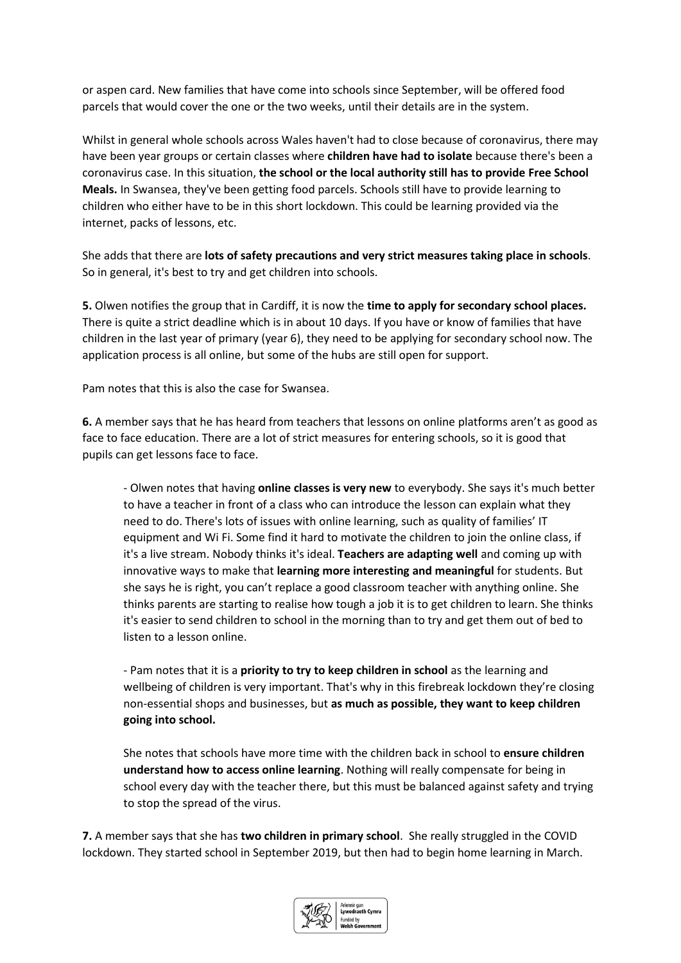or aspen card. New families that have come into schools since September, will be offered food parcels that would cover the one or the two weeks, until their details are in the system.

Whilst in general whole schools across Wales haven't had to close because of coronavirus, there may have been year groups or certain classes where **children have had to isolate** because there's been a coronavirus case. In this situation, **the school or the local authority still has to provide Free School Meals.** In Swansea, they've been getting food parcels. Schools still have to provide learning to children who either have to be in this short lockdown. This could be learning provided via the internet, packs of lessons, etc.

She adds that there are **lots of safety precautions and very strict measures taking place in schools**. So in general, it's best to try and get children into schools.

**5.** Olwen notifies the group that in Cardiff, it is now the **time to apply for secondary school places.** There is quite a strict deadline which is in about 10 days. If you have or know of families that have children in the last year of primary (year 6), they need to be applying for secondary school now. The application process is all online, but some of the hubs are still open for support.

Pam notes that this is also the case for Swansea.

**6.** A member says that he has heard from teachers that lessons on online platforms aren't as good as face to face education. There are a lot of strict measures for entering schools, so it is good that pupils can get lessons face to face.

- Olwen notes that having **online classes is very new** to everybody. She says it's much better to have a teacher in front of a class who can introduce the lesson can explain what they need to do. There's lots of issues with online learning, such as quality of families' IT equipment and Wi Fi. Some find it hard to motivate the children to join the online class, if it's a live stream. Nobody thinks it's ideal. **Teachers are adapting well** and coming up with innovative ways to make that **learning more interesting and meaningful** for students. But she says he is right, you can't replace a good classroom teacher with anything online. She thinks parents are starting to realise how tough a job it is to get children to learn. She thinks it's easier to send children to school in the morning than to try and get them out of bed to listen to a lesson online.

- Pam notes that it is a **priority to try to keep children in school** as the learning and wellbeing of children is very important. That's why in this firebreak lockdown they're closing non-essential shops and businesses, but **as much as possible, they want to keep children going into school.** 

She notes that schools have more time with the children back in school to **ensure children understand how to access online learning**. Nothing will really compensate for being in school every day with the teacher there, but this must be balanced against safety and trying to stop the spread of the virus.

**7.** A member says that she has **two children in primary school**. She really struggled in the COVID lockdown. They started school in September 2019, but then had to begin home learning in March.

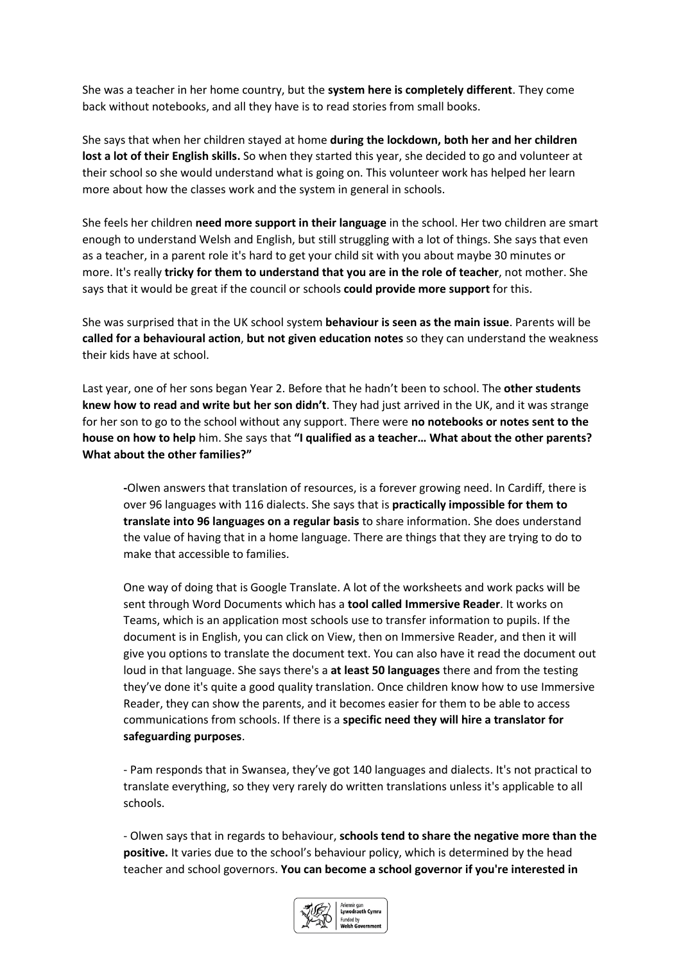She was a teacher in her home country, but the **system here is completely different**. They come back without notebooks, and all they have is to read stories from small books.

She says that when her children stayed at home **during the lockdown, both her and her children lost a lot of their English skills.** So when they started this year, she decided to go and volunteer at their school so she would understand what is going on. This volunteer work has helped her learn more about how the classes work and the system in general in schools.

She feels her children **need more support in their language** in the school. Her two children are smart enough to understand Welsh and English, but still struggling with a lot of things. She says that even as a teacher, in a parent role it's hard to get your child sit with you about maybe 30 minutes or more. It's really **tricky for them to understand that you are in the role of teacher**, not mother. She says that it would be great if the council or schools **could provide more support** for this.

She was surprised that in the UK school system **behaviour is seen as the main issue**. Parents will be **called for a behavioural action**, **but not given education notes** so they can understand the weakness their kids have at school.

Last year, one of her sons began Year 2. Before that he hadn't been to school. The **other students knew how to read and write but her son didn't**. They had just arrived in the UK, and it was strange for her son to go to the school without any support. There were **no notebooks or notes sent to the house on how to help** him. She says that **"I qualified as a teacher… What about the other parents? What about the other families?"**

**-**Olwen answers that translation of resources, is a forever growing need. In Cardiff, there is over 96 languages with 116 dialects. She says that is **practically impossible for them to translate into 96 languages on a regular basis** to share information. She does understand the value of having that in a home language. There are things that they are trying to do to make that accessible to families.

One way of doing that is Google Translate. A lot of the worksheets and work packs will be sent through Word Documents which has a **tool called Immersive Reader**. It works on Teams, which is an application most schools use to transfer information to pupils. If the document is in English, you can click on View, then on Immersive Reader, and then it will give you options to translate the document text. You can also have it read the document out loud in that language. She says there's a **at least 50 languages** there and from the testing they've done it's quite a good quality translation. Once children know how to use Immersive Reader, they can show the parents, and it becomes easier for them to be able to access communications from schools. If there is a **specific need they will hire a translator for safeguarding purposes**.

- Pam responds that in Swansea, they've got 140 languages and dialects. It's not practical to translate everything, so they very rarely do written translations unless it's applicable to all schools.

- Olwen says that in regards to behaviour, **schools tend to share the negative more than the positive.** It varies due to the school's behaviour policy, which is determined by the head teacher and school governors. **You can become a school governor if you're interested in** 

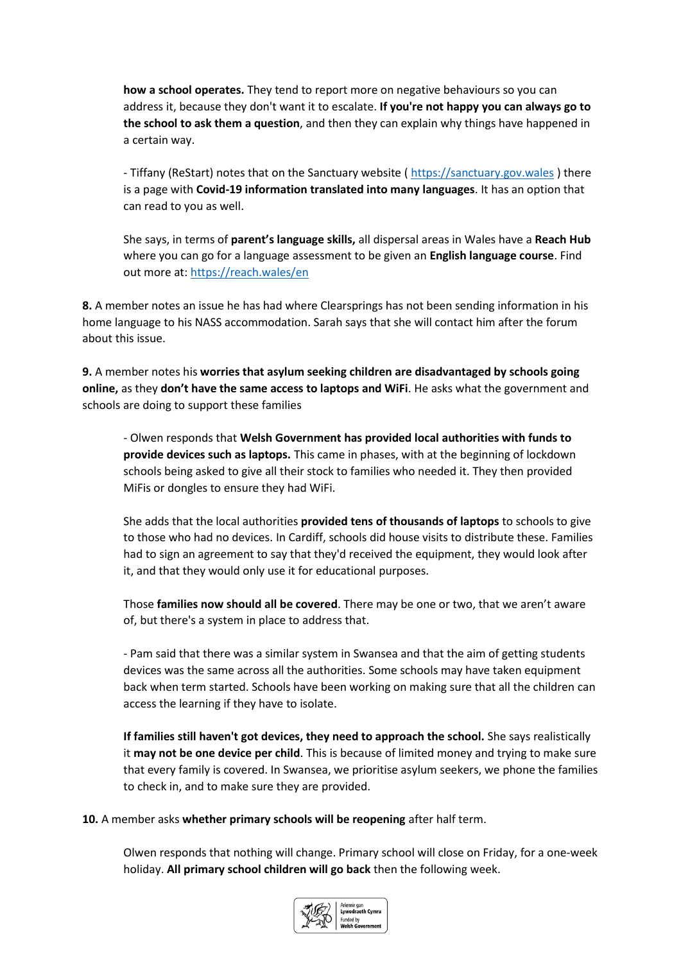**how a school operates.** They tend to report more on negative behaviours so you can address it, because they don't want it to escalate. **If you're not happy you can always go to the school to ask them a question**, and then they can explain why things have happened in a certain way.

- Tiffany (ReStart) notes that on the Sanctuary website ( [https://sanctuary.gov.wales](https://sanctuary.gov.wales/) ) there is a page with **Covid-19 information translated into many languages**. It has an option that can read to you as well.

She says, in terms of **parent's language skills,** all dispersal areas in Wales have a **Reach Hub** where you can go for a language assessment to be given an **English language course**. Find out more at[: https://reach.wales/en](https://reach.wales/en)

**8.** A member notes an issue he has had where Clearsprings has not been sending information in his home language to his NASS accommodation. Sarah says that she will contact him after the forum about this issue.

**9.** A member notes his **worries that asylum seeking children are disadvantaged by schools going online,** as they **don't have the same access to laptops and WiFi**. He asks what the government and schools are doing to support these families

- Olwen responds that **Welsh Government has provided local authorities with funds to provide devices such as laptops.** This came in phases, with at the beginning of lockdown schools being asked to give all their stock to families who needed it. They then provided MiFis or dongles to ensure they had WiFi.

She adds that the local authorities **provided tens of thousands of laptops** to schools to give to those who had no devices. In Cardiff, schools did house visits to distribute these. Families had to sign an agreement to say that they'd received the equipment, they would look after it, and that they would only use it for educational purposes.

Those **families now should all be covered**. There may be one or two, that we aren't aware of, but there's a system in place to address that.

- Pam said that there was a similar system in Swansea and that the aim of getting students devices was the same across all the authorities. Some schools may have taken equipment back when term started. Schools have been working on making sure that all the children can access the learning if they have to isolate.

**If families still haven't got devices, they need to approach the school.** She says realistically it **may not be one device per child**. This is because of limited money and trying to make sure that every family is covered. In Swansea, we prioritise asylum seekers, we phone the families to check in, and to make sure they are provided.

**10.** A member asks **whether primary schools will be reopening** after half term.

Olwen responds that nothing will change. Primary school will close on Friday, for a one-week holiday. **All primary school children will go back** then the following week.

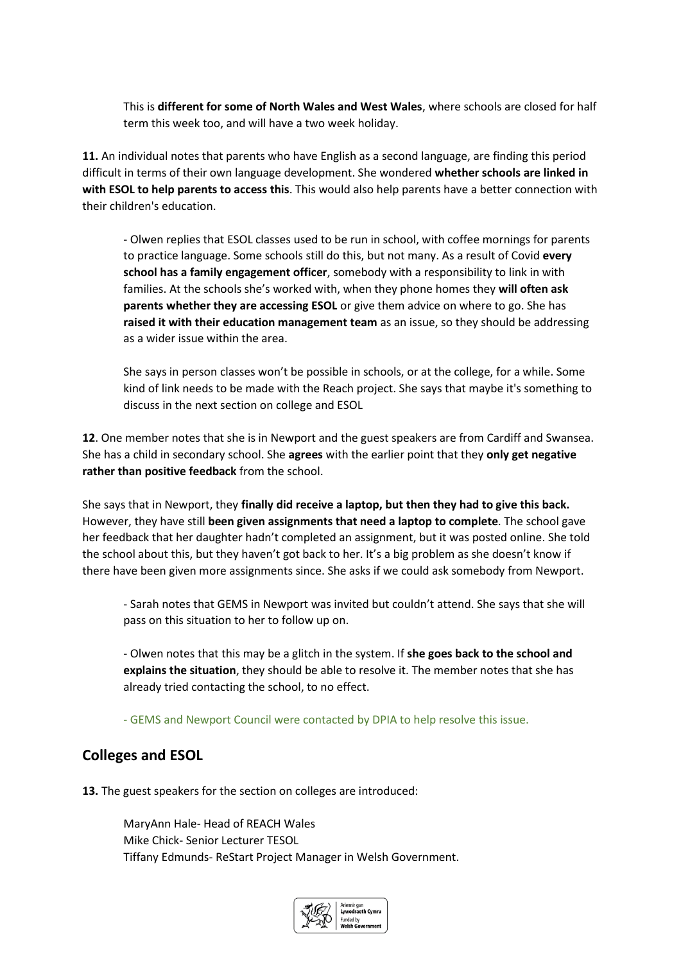This is **different for some of North Wales and West Wales**, where schools are closed for half term this week too, and will have a two week holiday.

**11.** An individual notes that parents who have English as a second language, are finding this period difficult in terms of their own language development. She wondered **whether schools are linked in with ESOL to help parents to access this**. This would also help parents have a better connection with their children's education.

- Olwen replies that ESOL classes used to be run in school, with coffee mornings for parents to practice language. Some schools still do this, but not many. As a result of Covid **every school has a family engagement officer**, somebody with a responsibility to link in with families. At the schools she's worked with, when they phone homes they **will often ask parents whether they are accessing ESOL** or give them advice on where to go. She has **raised it with their education management team** as an issue, so they should be addressing as a wider issue within the area.

She says in person classes won't be possible in schools, or at the college, for a while. Some kind of link needs to be made with the Reach project. She says that maybe it's something to discuss in the next section on college and ESOL

**12**. One member notes that she is in Newport and the guest speakers are from Cardiff and Swansea. She has a child in secondary school. She **agrees** with the earlier point that they **only get negative rather than positive feedback** from the school.

She says that in Newport, they **finally did receive a laptop, but then they had to give this back.** However, they have still **been given assignments that need a laptop to complete**. The school gave her feedback that her daughter hadn't completed an assignment, but it was posted online. She told the school about this, but they haven't got back to her. It's a big problem as she doesn't know if there have been given more assignments since. She asks if we could ask somebody from Newport.

- Sarah notes that GEMS in Newport was invited but couldn't attend. She says that she will pass on this situation to her to follow up on.

- Olwen notes that this may be a glitch in the system. If **she goes back to the school and explains the situation**, they should be able to resolve it. The member notes that she has already tried contacting the school, to no effect.

- GEMS and Newport Council were contacted by DPIA to help resolve this issue.

## **Colleges and ESOL**

**13.** The guest speakers for the section on colleges are introduced:

MaryAnn Hale- Head of REACH Wales Mike Chick- Senior Lecturer TESOL Tiffany Edmunds- ReStart Project Manager in Welsh Government.

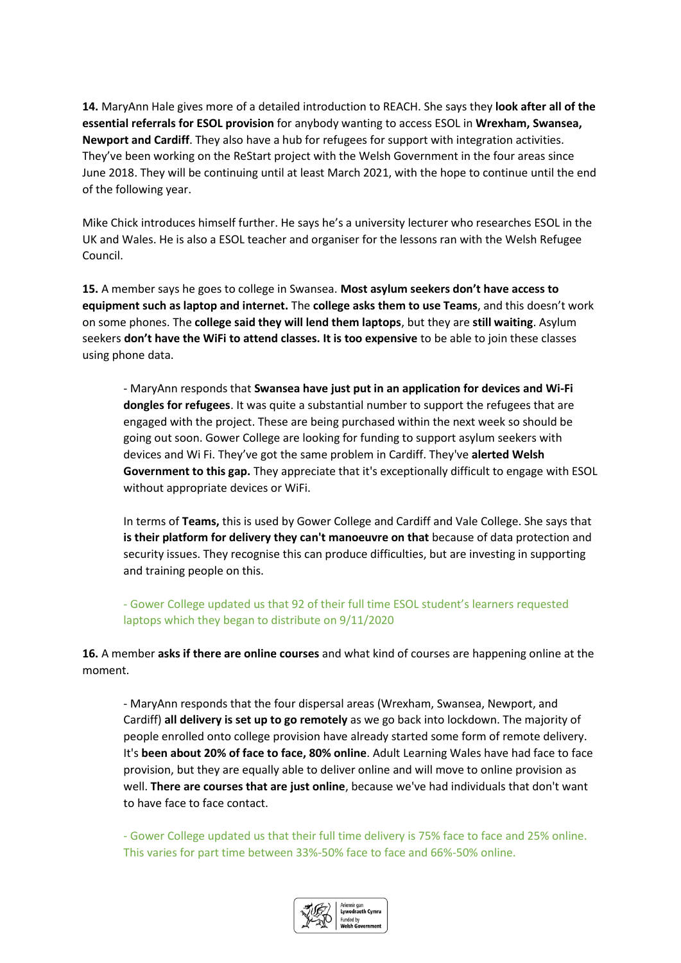**14.** MaryAnn Hale gives more of a detailed introduction to REACH. She says they **look after all of the essential referrals for ESOL provision** for anybody wanting to access ESOL in **Wrexham, Swansea, Newport and Cardiff**. They also have a hub for refugees for support with integration activities. They've been working on the ReStart project with the Welsh Government in the four areas since June 2018. They will be continuing until at least March 2021, with the hope to continue until the end of the following year.

Mike Chick introduces himself further. He says he's a university lecturer who researches ESOL in the UK and Wales. He is also a ESOL teacher and organiser for the lessons ran with the Welsh Refugee Council.

**15.** A member says he goes to college in Swansea. **Most asylum seekers don't have access to equipment such as laptop and internet.** The **college asks them to use Teams**, and this doesn't work on some phones. The **college said they will lend them laptops**, but they are **still waiting**. Asylum seekers **don't have the WiFi to attend classes. It is too expensive** to be able to join these classes using phone data.

- MaryAnn responds that **Swansea have just put in an application for devices and Wi-Fi dongles for refugees**. It was quite a substantial number to support the refugees that are engaged with the project. These are being purchased within the next week so should be going out soon. Gower College are looking for funding to support asylum seekers with devices and Wi Fi. They've got the same problem in Cardiff. They've **alerted Welsh Government to this gap.** They appreciate that it's exceptionally difficult to engage with ESOL without appropriate devices or WiFi.

In terms of **Teams,** this is used by Gower College and Cardiff and Vale College. She says that **is their platform for delivery they can't manoeuvre on that** because of data protection and security issues. They recognise this can produce difficulties, but are investing in supporting and training people on this.

- Gower College updated us that 92 of their full time ESOL student's learners requested laptops which they began to distribute on 9/11/2020

**16.** A member **asks if there are online courses** and what kind of courses are happening online at the moment.

- MaryAnn responds that the four dispersal areas (Wrexham, Swansea, Newport, and Cardiff) **all delivery is set up to go remotely** as we go back into lockdown. The majority of people enrolled onto college provision have already started some form of remote delivery. It's **been about 20% of face to face, 80% online**. Adult Learning Wales have had face to face provision, but they are equally able to deliver online and will move to online provision as well. **There are courses that are just online**, because we've had individuals that don't want to have face to face contact.

- Gower College updated us that their full time delivery is 75% face to face and 25% online. This varies for part time between 33%-50% face to face and 66%-50% online.

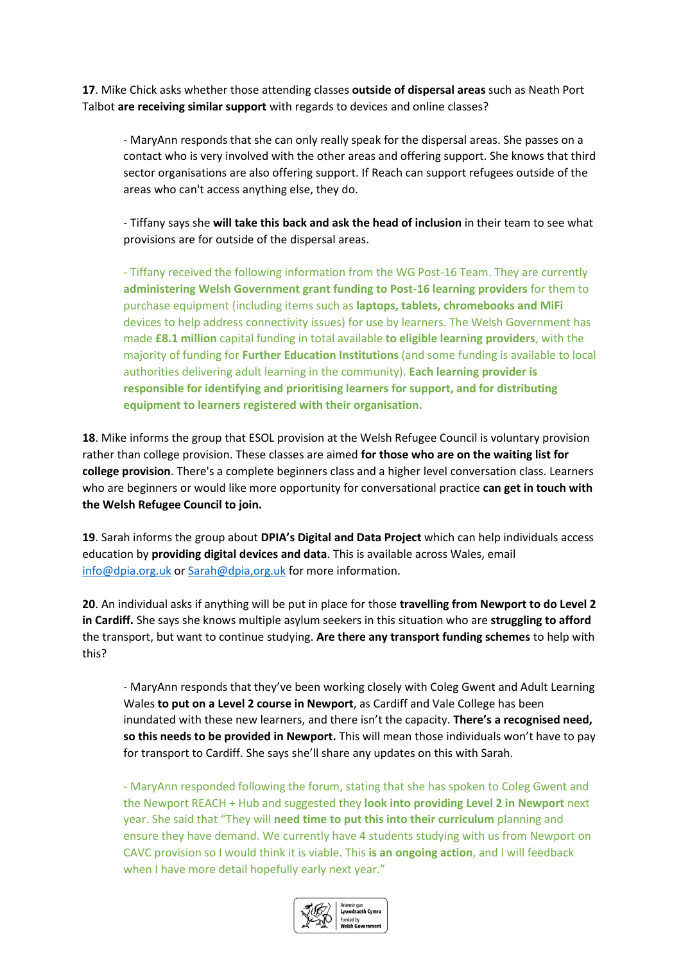**17**. Mike Chick asks whether those attending classes **outside of dispersal areas** such as Neath Port Talbot **are receiving similar support** with regards to devices and online classes?

- MaryAnn responds that she can only really speak for the dispersal areas. She passes on a contact who is very involved with the other areas and offering support. She knows that third sector organisations are also offering support. If Reach can support refugees outside of the areas who can't access anything else, they do.

- Tiffany says she **will take this back and ask the head of inclusion** in their team to see what provisions are for outside of the dispersal areas.

- Tiffany received the following information from the WG Post-16 Team. They are currently **administering Welsh Government grant funding to Post-16 learning providers** for them to purchase equipment (including items such as **laptops, tablets, chromebooks and MiFi** devices to help address connectivity issues) for use by learners. The Welsh Government has made **£8.1 million** capital funding in total available **to eligible learning providers**, with the majority of funding for **Further Education Institutions** (and some funding is available to local authorities delivering adult learning in the community). **Each learning provider is responsible for identifying and prioritising learners for support, and for distributing equipment to learners registered with their organisation.**

**18**. Mike informs the group that ESOL provision at the Welsh Refugee Council is voluntary provision rather than college provision. These classes are aimed **for those who are on the waiting list for college provision**. There's a complete beginners class and a higher level conversation class. Learners who are beginners or would like more opportunity for conversational practice **can get in touch with the Welsh Refugee Council to join.** 

**19**. Sarah informs the group about **DPIA's Digital and Data Project** which can help individuals access education by **providing digital devices and data**. This is available across Wales, email [info@dpia.org.uk](mailto:info@dpia.org.uk) o[r Sarah@dpia,org.uk](mailto:Sarah@dpia,org.uk) for more information.

**20**. An individual asks if anything will be put in place for those **travelling from Newport to do Level 2 in Cardiff.** She says she knows multiple asylum seekers in this situation who are **struggling to afford**  the transport, but want to continue studying. **Are there any transport funding schemes** to help with this?

- MaryAnn responds that they've been working closely with Coleg Gwent and Adult Learning Wales **to put on a Level 2 course in Newport**, as Cardiff and Vale College has been inundated with these new learners, and there isn't the capacity. **There's a recognised need, so this needs to be provided in Newport.** This will mean those individuals won't have to pay for transport to Cardiff. She says she'll share any updates on this with Sarah.

- MaryAnn responded following the forum, stating that she has spoken to Coleg Gwent and the Newport REACH + Hub and suggested they **look into providing Level 2 in Newport** next year. She said that "They will **need time to put this into their curriculum** planning and ensure they have demand. We currently have 4 students studying with us from Newport on CAVC provision so I would think it is viable. This **is an ongoing action**, and I will feedback when I have more detail hopefully early next year."

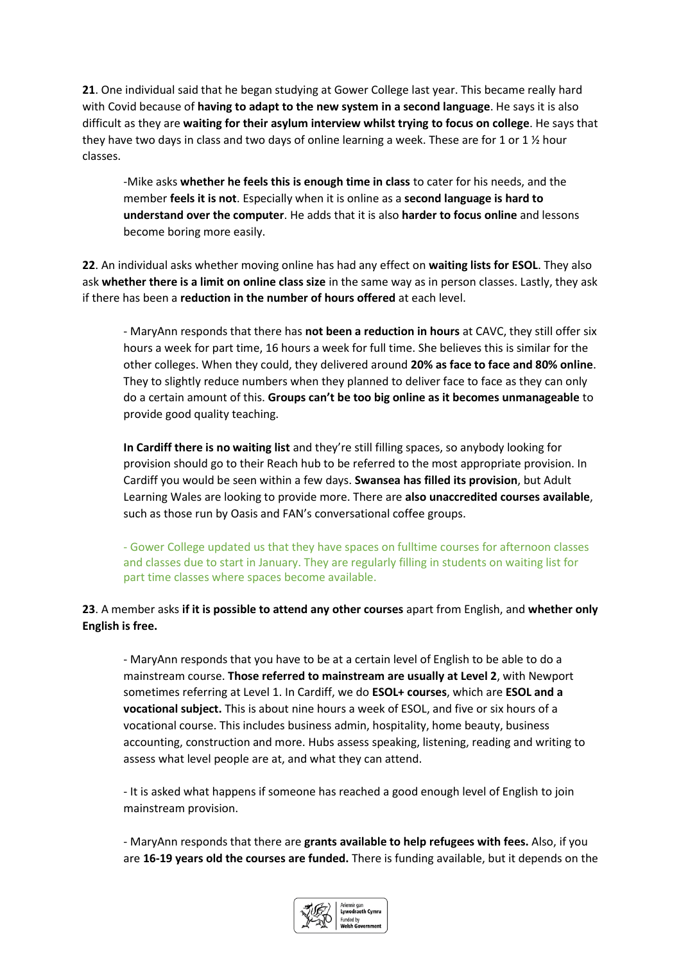**21**. One individual said that he began studying at Gower College last year. This became really hard with Covid because of **having to adapt to the new system in a second language**. He says it is also difficult as they are **waiting for their asylum interview whilst trying to focus on college**. He says that they have two days in class and two days of online learning a week. These are for 1 or 1  $\frac{1}{2}$  hour classes.

-Mike asks **whether he feels this is enough time in class** to cater for his needs, and the member **feels it is not**. Especially when it is online as a **second language is hard to understand over the computer**. He adds that it is also **harder to focus online** and lessons become boring more easily.

**22**. An individual asks whether moving online has had any effect on **waiting lists for ESOL**. They also ask **whether there is a limit on online class size** in the same way as in person classes. Lastly, they ask if there has been a **reduction in the number of hours offered** at each level.

- MaryAnn responds that there has **not been a reduction in hours** at CAVC, they still offer six hours a week for part time, 16 hours a week for full time. She believes this is similar for the other colleges. When they could, they delivered around **20% as face to face and 80% online**. They to slightly reduce numbers when they planned to deliver face to face as they can only do a certain amount of this. **Groups can't be too big online as it becomes unmanageable** to provide good quality teaching.

**In Cardiff there is no waiting list** and they're still filling spaces, so anybody looking for provision should go to their Reach hub to be referred to the most appropriate provision. In Cardiff you would be seen within a few days. **Swansea has filled its provision**, but Adult Learning Wales are looking to provide more. There are **also unaccredited courses available**, such as those run by Oasis and FAN's conversational coffee groups.

- Gower College updated us that they have spaces on fulltime courses for afternoon classes and classes due to start in January. They are regularly filling in students on waiting list for part time classes where spaces become available.

### **23**. A member asks **if it is possible to attend any other courses** apart from English, and **whether only English is free.**

- MaryAnn responds that you have to be at a certain level of English to be able to do a mainstream course. **Those referred to mainstream are usually at Level 2**, with Newport sometimes referring at Level 1. In Cardiff, we do **ESOL+ courses**, which are **ESOL and a vocational subject.** This is about nine hours a week of ESOL, and five or six hours of a vocational course. This includes business admin, hospitality, home beauty, business accounting, construction and more. Hubs assess speaking, listening, reading and writing to assess what level people are at, and what they can attend.

- It is asked what happens if someone has reached a good enough level of English to join mainstream provision.

- MaryAnn responds that there are **grants available to help refugees with fees.** Also, if you are **16-19 years old the courses are funded.** There is funding available, but it depends on the

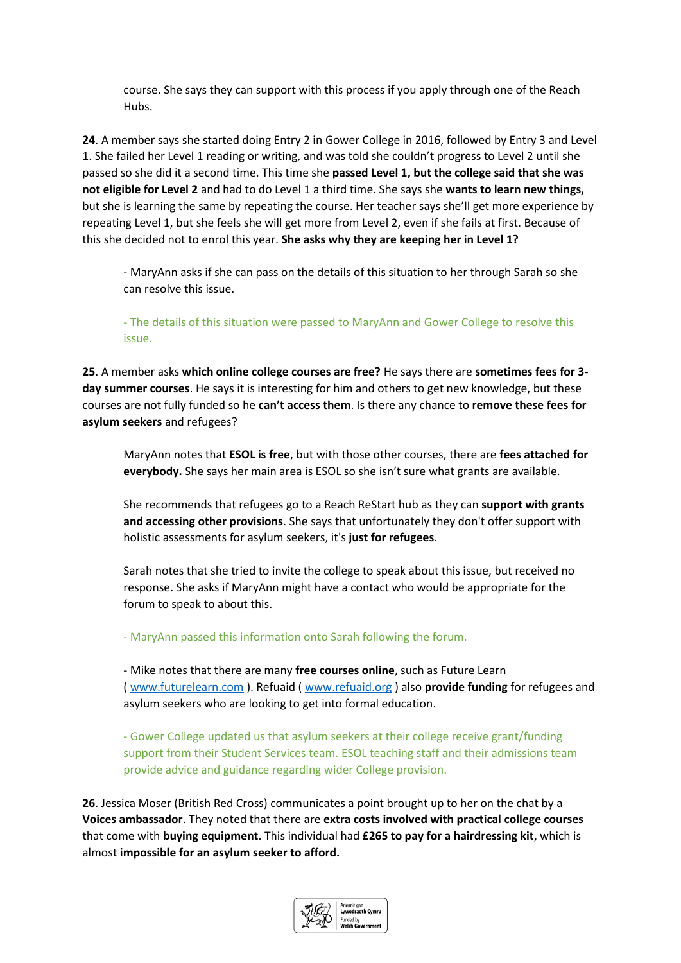course. She says they can support with this process if you apply through one of the Reach Hubs.

**24**. A member says she started doing Entry 2 in Gower College in 2016, followed by Entry 3 and Level 1. She failed her Level 1 reading or writing, and was told she couldn't progress to Level 2 until she passed so she did it a second time. This time she **passed Level 1, but the college said that she was not eligible for Level 2** and had to do Level 1 a third time. She says she **wants to learn new things,** but she is learning the same by repeating the course. Her teacher says she'll get more experience by repeating Level 1, but she feels she will get more from Level 2, even if she fails at first. Because of this she decided not to enrol this year. **She asks why they are keeping her in Level 1?**

- MaryAnn asks if she can pass on the details of this situation to her through Sarah so she can resolve this issue.

- The details of this situation were passed to MaryAnn and Gower College to resolve this issue.

**25**. A member asks **which online college courses are free?** He says there are **sometimes fees for 3 day summer courses**. He says it is interesting for him and others to get new knowledge, but these courses are not fully funded so he **can't access them**. Is there any chance to **remove these fees for asylum seekers** and refugees?

MaryAnn notes that **ESOL is free**, but with those other courses, there are **fees attached for everybody.** She says her main area is ESOL so she isn't sure what grants are available.

She recommends that refugees go to a Reach ReStart hub as they can **support with grants and accessing other provisions**. She says that unfortunately they don't offer support with holistic assessments for asylum seekers, it's **just for refugees**.

Sarah notes that she tried to invite the college to speak about this issue, but received no response. She asks if MaryAnn might have a contact who would be appropriate for the forum to speak to about this.

- MaryAnn passed this information onto Sarah following the forum.

- Mike notes that there are many **free courses online**, such as Future Learn ( [www.futurelearn.com](http://www.futurelearn.com/) ). Refuaid [\( www.refuaid.org](http://www.refuaid.org/) ) also **provide funding** for refugees and asylum seekers who are looking to get into formal education.

- Gower College updated us that asylum seekers at their college receive grant/funding support from their Student Services team. ESOL teaching staff and their admissions team provide advice and guidance regarding wider College provision.

**26**. Jessica Moser (British Red Cross) communicates a point brought up to her on the chat by a **Voices ambassador**. They noted that there are **extra costs involved with practical college courses** that come with **buying equipment**. This individual had **£265 to pay for a hairdressing kit**, which is almost **impossible for an asylum seeker to afford.** 

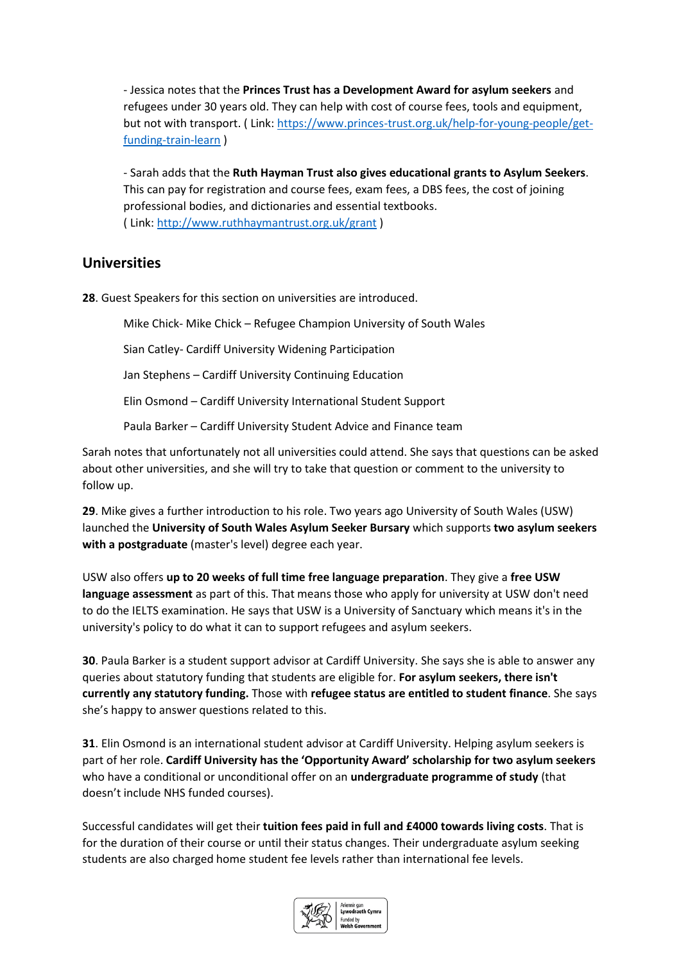- Jessica notes that the **Princes Trust has a Development Award for asylum seekers** and refugees under 30 years old. They can help with cost of course fees, tools and equipment, but not with transport. ( Link: [https://www.princes-trust.org.uk/help-for-young-people/get](https://www.princes-trust.org.uk/help-for-young-people/get-funding-train-learn)[funding-train-learn](https://www.princes-trust.org.uk/help-for-young-people/get-funding-train-learn) )

- Sarah adds that the **Ruth Hayman Trust also gives educational grants to Asylum Seekers**. This can pay for registration and course fees, exam fees, a DBS fees, the cost of joining professional bodies, and dictionaries and essential textbooks. ( Link:<http://www.ruthhaymantrust.org.uk/grant> )

## **Universities**

**28**. Guest Speakers for this section on universities are introduced.

Mike Chick- Mike Chick – Refugee Champion University of South Wales

Sian Catley- Cardiff University Widening Participation

Jan Stephens – Cardiff University Continuing Education

Elin Osmond – Cardiff University International Student Support

Paula Barker – Cardiff University Student Advice and Finance team

Sarah notes that unfortunately not all universities could attend. She says that questions can be asked about other universities, and she will try to take that question or comment to the university to follow up.

**29**. Mike gives a further introduction to his role. Two years ago University of South Wales (USW) launched the **University of South Wales Asylum Seeker Bursary** which supports **two asylum seekers with a postgraduate** (master's level) degree each year.

USW also offers **up to 20 weeks of full time free language preparation**. They give a **free USW language assessment** as part of this. That means those who apply for university at USW don't need to do the IELTS examination. He says that USW is a University of Sanctuary which means it's in the university's policy to do what it can to support refugees and asylum seekers.

**30**. Paula Barker is a student support advisor at Cardiff University. She says she is able to answer any queries about statutory funding that students are eligible for. **For asylum seekers, there isn't currently any statutory funding.** Those with **refugee status are entitled to student finance**. She says she's happy to answer questions related to this.

**31**. Elin Osmond is an international student advisor at Cardiff University. Helping asylum seekers is part of her role. **Cardiff University has the 'Opportunity Award' scholarship for two asylum seekers** who have a conditional or unconditional offer on an **undergraduate programme of study** (that doesn't include NHS funded courses).

Successful candidates will get their **tuition fees paid in full and £4000 towards living costs**. That is for the duration of their course or until their status changes. Their undergraduate asylum seeking students are also charged home student fee levels rather than international fee levels.

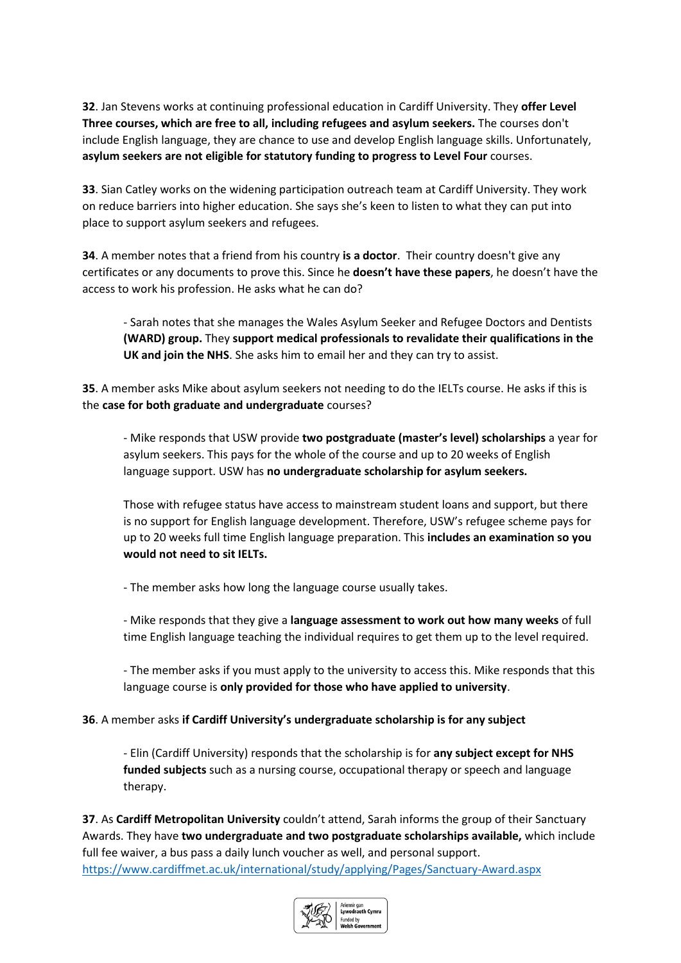**32**. Jan Stevens works at continuing professional education in Cardiff University. They **offer Level Three courses, which are free to all, including refugees and asylum seekers.** The courses don't include English language, they are chance to use and develop English language skills. Unfortunately, **asylum seekers are not eligible for statutory funding to progress to Level Four** courses.

**33**. Sian Catley works on the widening participation outreach team at Cardiff University. They work on reduce barriers into higher education. She says she's keen to listen to what they can put into place to support asylum seekers and refugees.

**34**. A member notes that a friend from his country **is a doctor**. Their country doesn't give any certificates or any documents to prove this. Since he **doesn't have these papers**, he doesn't have the access to work his profession. He asks what he can do?

- Sarah notes that she manages the Wales Asylum Seeker and Refugee Doctors and Dentists **(WARD) group.** They **support medical professionals to revalidate their qualifications in the UK and join the NHS**. She asks him to email her and they can try to assist.

**35**. A member asks Mike about asylum seekers not needing to do the IELTs course. He asks if this is the **case for both graduate and undergraduate** courses?

- Mike responds that USW provide **two postgraduate (master's level) scholarships** a year for asylum seekers. This pays for the whole of the course and up to 20 weeks of English language support. USW has **no undergraduate scholarship for asylum seekers.**

Those with refugee status have access to mainstream student loans and support, but there is no support for English language development. Therefore, USW's refugee scheme pays for up to 20 weeks full time English language preparation. This **includes an examination so you would not need to sit IELTs.**

- The member asks how long the language course usually takes.

- Mike responds that they give a **language assessment to work out how many weeks** of full time English language teaching the individual requires to get them up to the level required.

- The member asks if you must apply to the university to access this. Mike responds that this language course is **only provided for those who have applied to university**.

**36**. A member asks **if Cardiff University's undergraduate scholarship is for any subject**

- Elin (Cardiff University) responds that the scholarship is for **any subject except for NHS funded subjects** such as a nursing course, occupational therapy or speech and language therapy.

**37**. As **Cardiff Metropolitan University** couldn't attend, Sarah informs the group of their Sanctuary Awards. They have **two undergraduate and two postgraduate scholarships available,** which include full fee waiver, a bus pass a daily lunch voucher as well, and personal support. <https://www.cardiffmet.ac.uk/international/study/applying/Pages/Sanctuary-Award.aspx>

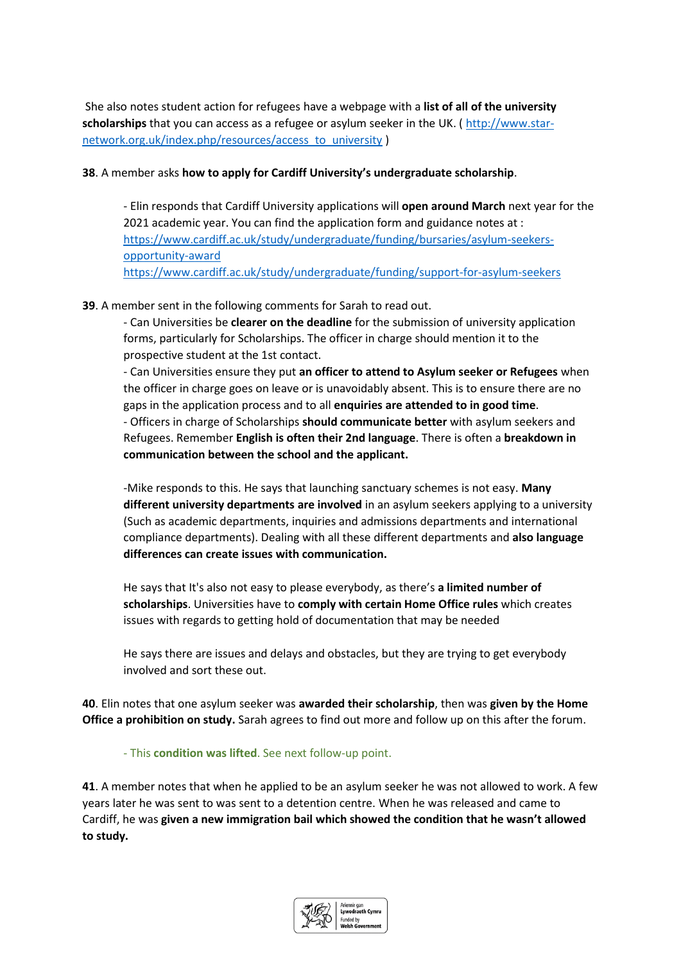She also notes student action for refugees have a webpage with a **list of all of the university scholarships** that you can access as a refugee or asylum seeker in the UK. ( [http://www.star](http://www.star-network.org.uk/index.php/resources/access_to_university)[network.org.uk/index.php/resources/access\\_to\\_university](http://www.star-network.org.uk/index.php/resources/access_to_university) )

#### **38**. A member asks **how to apply for Cardiff University's undergraduate scholarship**.

- Elin responds that Cardiff University applications will **open around March** next year for the 2021 academic year. You can find the application form and guidance notes at : [https://www.cardiff.ac.uk/study/undergraduate/funding/bursaries/asylum-seekers](https://www.cardiff.ac.uk/study/undergraduate/funding/bursaries/asylum-seekers-opportunity-award)[opportunity-award](https://www.cardiff.ac.uk/study/undergraduate/funding/bursaries/asylum-seekers-opportunity-award) <https://www.cardiff.ac.uk/study/undergraduate/funding/support-for-asylum-seekers>

#### **39**. A member sent in the following comments for Sarah to read out.

- Can Universities be **clearer on the deadline** for the submission of university application forms, particularly for Scholarships. The officer in charge should mention it to the prospective student at the 1st contact.

- Can Universities ensure they put **an officer to attend to Asylum seeker or Refugees** when the officer in charge goes on leave or is unavoidably absent. This is to ensure there are no gaps in the application process and to all **enquiries are attended to in good time**. - Officers in charge of Scholarships **should communicate better** with asylum seekers and Refugees. Remember **English is often their 2nd language**. There is often a **breakdown in communication between the school and the applicant.**

-Mike responds to this. He says that launching sanctuary schemes is not easy. **Many different university departments are involved** in an asylum seekers applying to a university (Such as academic departments, inquiries and admissions departments and international compliance departments). Dealing with all these different departments and **also language differences can create issues with communication.**

He says that It's also not easy to please everybody, as there's **a limited number of scholarships**. Universities have to **comply with certain Home Office rules** which creates issues with regards to getting hold of documentation that may be needed

He says there are issues and delays and obstacles, but they are trying to get everybody involved and sort these out.

**40**. Elin notes that one asylum seeker was **awarded their scholarship**, then was **given by the Home Office a prohibition on study.** Sarah agrees to find out more and follow up on this after the forum.

- This **condition was lifted**. See next follow-up point.

**41**. A member notes that when he applied to be an asylum seeker he was not allowed to work. A few years later he was sent to was sent to a detention centre. When he was released and came to Cardiff, he was **given a new immigration bail which showed the condition that he wasn't allowed to study.** 

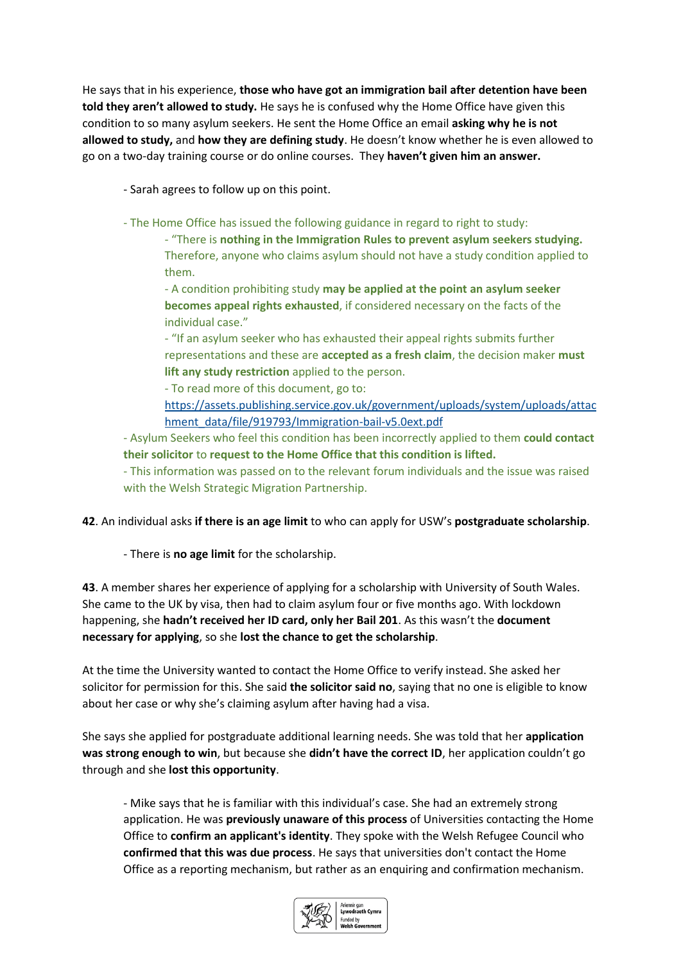He says that in his experience, **those who have got an immigration bail after detention have been told they aren't allowed to study.** He says he is confused why the Home Office have given this condition to so many asylum seekers. He sent the Home Office an email **asking why he is not allowed to study,** and **how they are defining study**. He doesn't know whether he is even allowed to go on a two-day training course or do online courses. They **haven't given him an answer.** 

- Sarah agrees to follow up on this point.

- The Home Office has issued the following guidance in regard to right to study:

- "There is **nothing in the Immigration Rules to prevent asylum seekers studying.** Therefore, anyone who claims asylum should not have a study condition applied to them.

- A condition prohibiting study **may be applied at the point an asylum seeker becomes appeal rights exhausted**, if considered necessary on the facts of the individual case."

- "If an asylum seeker who has exhausted their appeal rights submits further representations and these are **accepted as a fresh claim**, the decision maker **must lift any study restriction** applied to the person.

- To read more of this document, go to:

[https://assets.publishing.service.gov.uk/government/uploads/system/uploads/attac](https://assets.publishing.service.gov.uk/government/uploads/system/uploads/attachment_data/file/919793/Immigration-bail-v5.0ext.pdf) [hment\\_data/file/919793/Immigration-bail-v5.0ext.pdf](https://assets.publishing.service.gov.uk/government/uploads/system/uploads/attachment_data/file/919793/Immigration-bail-v5.0ext.pdf)

- Asylum Seekers who feel this condition has been incorrectly applied to them **could contact their solicitor** to **request to the Home Office that this condition is lifted.**

- This information was passed on to the relevant forum individuals and the issue was raised with the Welsh Strategic Migration Partnership.

**42**. An individual asks **if there is an age limit** to who can apply for USW's **postgraduate scholarship**.

- There is **no age limit** for the scholarship.

**43**. A member shares her experience of applying for a scholarship with University of South Wales. She came to the UK by visa, then had to claim asylum four or five months ago. With lockdown happening, she **hadn't received her ID card, only her Bail 201**. As this wasn't the **document necessary for applying**, so she **lost the chance to get the scholarship**.

At the time the University wanted to contact the Home Office to verify instead. She asked her solicitor for permission for this. She said **the solicitor said no**, saying that no one is eligible to know about her case or why she's claiming asylum after having had a visa.

She says she applied for postgraduate additional learning needs. She was told that her **application was strong enough to win**, but because she **didn't have the correct ID**, her application couldn't go through and she **lost this opportunity**.

- Mike says that he is familiar with this individual's case. She had an extremely strong application. He was **previously unaware of this process** of Universities contacting the Home Office to **confirm an applicant's identity**. They spoke with the Welsh Refugee Council who **confirmed that this was due process**. He says that universities don't contact the Home Office as a reporting mechanism, but rather as an enquiring and confirmation mechanism.

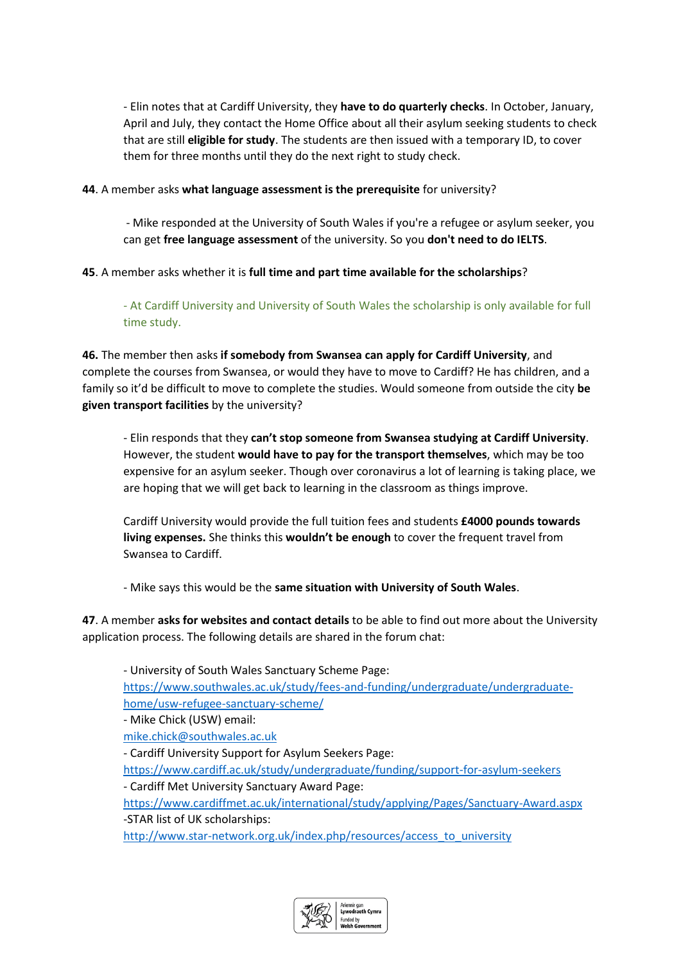- Elin notes that at Cardiff University, they **have to do quarterly checks**. In October, January, April and July, they contact the Home Office about all their asylum seeking students to check that are still **eligible for study**. The students are then issued with a temporary ID, to cover them for three months until they do the next right to study check.

#### **44**. A member asks **what language assessment is the prerequisite** for university?

- Mike responded at the University of South Wales if you're a refugee or asylum seeker, you can get **free language assessment** of the university. So you **don't need to do IELTS**.

#### **45**. A member asks whether it is **full time and part time available for the scholarships**?

- At Cardiff University and University of South Wales the scholarship is only available for full time study.

**46.** The member then asks **if somebody from Swansea can apply for Cardiff University**, and complete the courses from Swansea, or would they have to move to Cardiff? He has children, and a family so it'd be difficult to move to complete the studies. Would someone from outside the city **be given transport facilities** by the university?

- Elin responds that they **can't stop someone from Swansea studying at Cardiff University**. However, the student **would have to pay for the transport themselves**, which may be too expensive for an asylum seeker. Though over coronavirus a lot of learning is taking place, we are hoping that we will get back to learning in the classroom as things improve.

Cardiff University would provide the full tuition fees and students **£4000 pounds towards living expenses.** She thinks this **wouldn't be enough** to cover the frequent travel from Swansea to Cardiff.

- Mike says this would be the **same situation with University of South Wales**.

**47**. A member **asks for websites and contact details** to be able to find out more about the University application process. The following details are shared in the forum chat:

- University of South Wales Sanctuary Scheme Page: [https://www.southwales.ac.uk/study/fees-and-funding/undergraduate/undergraduate](https://www.southwales.ac.uk/study/fees-and-funding/undergraduate/undergraduate-home/usw-refugee-sanctuary-scheme/)[home/usw-refugee-sanctuary-scheme/](https://www.southwales.ac.uk/study/fees-and-funding/undergraduate/undergraduate-home/usw-refugee-sanctuary-scheme/) - Mike Chick (USW) email: [mike.chick@southwales.ac.uk](mailto:mike.chick@southwales.ac.uk) - Cardiff University Support for Asylum Seekers Page: <https://www.cardiff.ac.uk/study/undergraduate/funding/support-for-asylum-seekers> - Cardiff Met University Sanctuary Award Page: <https://www.cardiffmet.ac.uk/international/study/applying/Pages/Sanctuary-Award.aspx> -STAR list of UK scholarships: [http://www.star-network.org.uk/index.php/resources/access\\_to\\_university](http://www.star-network.org.uk/index.php/resources/access_to_university)

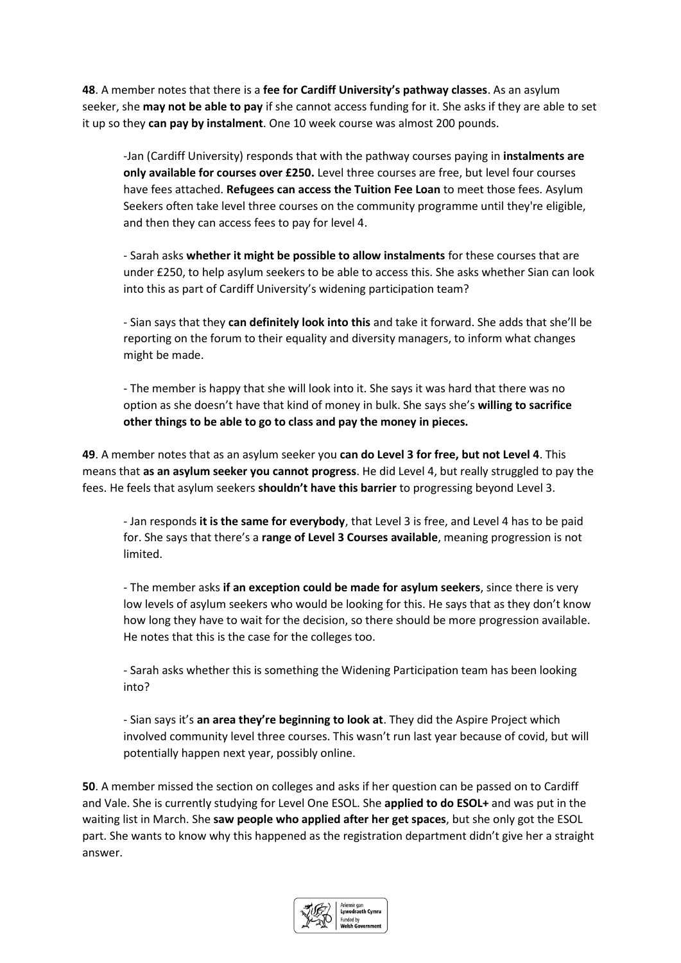**48**. A member notes that there is a **fee for Cardiff University's pathway classes**. As an asylum seeker, she **may not be able to pay** if she cannot access funding for it. She asks if they are able to set it up so they **can pay by instalment**. One 10 week course was almost 200 pounds.

-Jan (Cardiff University) responds that with the pathway courses paying in **instalments are only available for courses over £250.** Level three courses are free, but level four courses have fees attached. **Refugees can access the Tuition Fee Loan** to meet those fees. Asylum Seekers often take level three courses on the community programme until they're eligible, and then they can access fees to pay for level 4.

- Sarah asks **whether it might be possible to allow instalments** for these courses that are under £250, to help asylum seekers to be able to access this. She asks whether Sian can look into this as part of Cardiff University's widening participation team?

- Sian says that they **can definitely look into this** and take it forward. She adds that she'll be reporting on the forum to their equality and diversity managers, to inform what changes might be made.

- The member is happy that she will look into it. She says it was hard that there was no option as she doesn't have that kind of money in bulk. She says she's **willing to sacrifice other things to be able to go to class and pay the money in pieces.** 

**49**. A member notes that as an asylum seeker you **can do Level 3 for free, but not Level 4**. This means that **as an asylum seeker you cannot progress**. He did Level 4, but really struggled to pay the fees. He feels that asylum seekers **shouldn't have this barrier** to progressing beyond Level 3.

- Jan responds **it is the same for everybody**, that Level 3 is free, and Level 4 has to be paid for. She says that there's a **range of Level 3 Courses available**, meaning progression is not limited.

- The member asks **if an exception could be made for asylum seekers**, since there is very low levels of asylum seekers who would be looking for this. He says that as they don't know how long they have to wait for the decision, so there should be more progression available. He notes that this is the case for the colleges too.

- Sarah asks whether this is something the Widening Participation team has been looking into?

- Sian says it's **an area they're beginning to look at**. They did the Aspire Project which involved community level three courses. This wasn't run last year because of covid, but will potentially happen next year, possibly online.

**50**. A member missed the section on colleges and asks if her question can be passed on to Cardiff and Vale. She is currently studying for Level One ESOL. She **applied to do ESOL+** and was put in the waiting list in March. She **saw people who applied after her get spaces**, but she only got the ESOL part. She wants to know why this happened as the registration department didn't give her a straight answer.